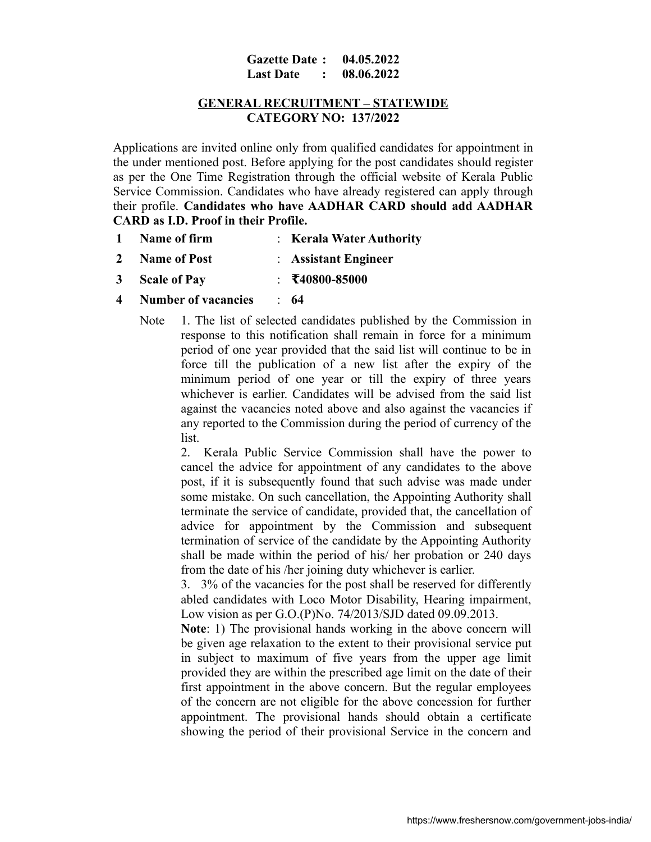#### **Gazette Date : 04.05.2022 Last Date : 08.06.2022**

## **GENERAL RECRUITMENT – STATEWIDE CATEGORY NO: 137/2022**

Applications are invited online only from qualified candidates for appointment in the under mentioned post. Before applying for the post candidates should register as per the One Time Registration through the official website of Kerala Public Service Commission. Candidates who have already registered can apply through their profile. **Candidates who have AADHAR CARD should add AADHAR CARD as I.D. Proof in their Profile.**

|  | Name of firm | <b>Kerala Water Authority</b> |
|--|--------------|-------------------------------|
|--|--------------|-------------------------------|

- **2 Name of Post** : **Assistant Engineer**
- **3 Scale of Pay** : **₹40800-85000**
- **4 Number of vacancies** : **64**
	- Note 1. The list of selected candidates published by the Commission in response to this notification shall remain in force for a minimum period of one year provided that the said list will continue to be in force till the publication of a new list after the expiry of the minimum period of one year or till the expiry of three years whichever is earlier. Candidates will be advised from the said list against the vacancies noted above and also against the vacancies if any reported to the Commission during the period of currency of the list.

2. Kerala Public Service Commission shall have the power to cancel the advice for appointment of any candidates to the above post, if it is subsequently found that such advise was made under some mistake. On such cancellation, the Appointing Authority shall terminate the service of candidate, provided that, the cancellation of advice for appointment by the Commission and subsequent termination of service of the candidate by the Appointing Authority shall be made within the period of his/ her probation or 240 days from the date of his /her joining duty whichever is earlier.

3. 3% of the vacancies for the post shall be reserved for differently abled candidates with Loco Motor Disability, Hearing impairment, Low vision as per G.O.(P)No. 74/2013/SJD dated 09.09.2013.

**Note**: 1) The provisional hands working in the above concern will be given age relaxation to the extent to their provisional service put in subject to maximum of five years from the upper age limit provided they are within the prescribed age limit on the date of their first appointment in the above concern. But the regular employees of the concern are not eligible for the above concession for further appointment. The provisional hands should obtain a certificate showing the period of their provisional Service in the concern and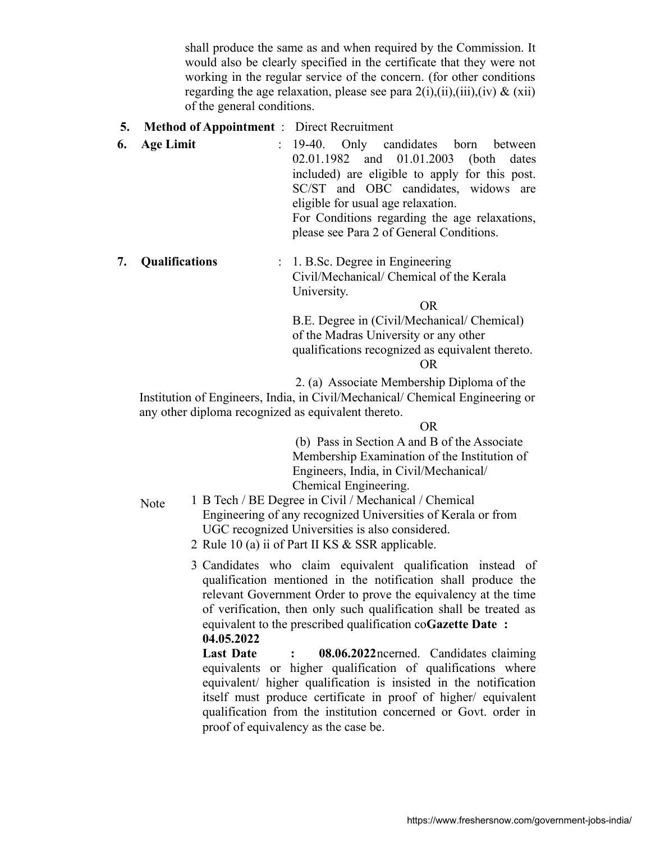shall produce the same as and when required by the Commission. It would also be clearly specified in the certificate that they were not working in the regular service of the concern. (for other conditions regarding the age relaxation, please see para  $2(i)$ , $(ii)$ , $(iii)$ , $(iv)$  &  $(xii)$ of the general conditions.

- **5. Method of Appointment** : Direct Recruitment
- **6. Age Limit** : 19-40. Only candidates born between 02.01.1982 and 01.01.2003 (both dates included) are eligible to apply for this post. SC/ST and OBC candidates, widows are eligible for usual age relaxation. For Conditions regarding the age relaxations, please see Para 2 of General Conditions.
- **7. Qualifications** : 1. B.Sc. Degree in Engineering Civil/Mechanical/ Chemical of the Kerala University.

OR

B.E. Degree in (Civil/Mechanical/ Chemical) of the Madras University or any other qualifications recognized as equivalent thereto.

# OR

2. (a) Associate Membership Diploma of the

Institution of Engineers, India, in Civil/Mechanical/ Chemical Engineering or any other diploma recognized as equivalent thereto.

OR

 (b) Pass in Section A and B of the Associate Membership Examination of the Institution of Engineers, India, in Civil/Mechanical/ Chemical Engineering.

- Note 1 B Tech / BE Degree in Civil / Mechanical / Chemical Engineering of any recognized Universities of Kerala or from UGC recognized Universities is also considered.
	- 2 Rule 10 (a) ii of Part II KS & SSR applicable.

3 Candidates who claim equivalent qualification instead of qualification mentioned in the notification shall produce the relevant Government Order to prove the equivalency at the time of verification, then only such qualification shall be treated as equivalent to the prescribed qualification co**Gazette Date : 04.05.2022**

Last Date : 08.06.2022 ncerned. Candidates claiming equivalents or higher qualification of qualifications where equivalent/ higher qualification is insisted in the notification itself must produce certificate in proof of higher/ equivalent qualification from the institution concerned or Govt. order in proof of equivalency as the case be.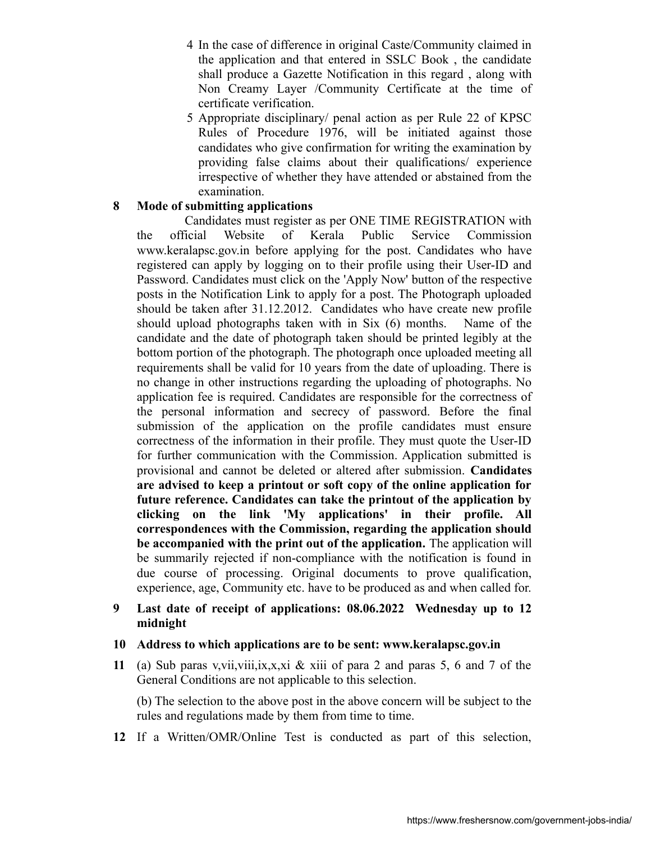- 4 In the case of difference in original Caste/Community claimed in the application and that entered in SSLC Book , the candidate shall produce a Gazette Notification in this regard , along with Non Creamy Layer /Community Certificate at the time of certificate verification.
- 5 Appropriate disciplinary/ penal action as per Rule 22 of KPSC Rules of Procedure 1976, will be initiated against those candidates who give confirmation for writing the examination by providing false claims about their qualifications/ experience irrespective of whether they have attended or abstained from the examination.

## **8 Mode of submitting applications**

 Candidates must register as per ONE TIME REGISTRATION with the official Website of Kerala Public Service Commission www.keralapsc.gov.in before applying for the post. Candidates who have registered can apply by logging on to their profile using their User-ID and Password. Candidates must click on the 'Apply Now' button of the respective posts in the Notification Link to apply for a post. The Photograph uploaded should be taken after 31.12.2012. Candidates who have create new profile should upload photographs taken with in Six (6) months. Name of the candidate and the date of photograph taken should be printed legibly at the bottom portion of the photograph. The photograph once uploaded meeting all requirements shall be valid for 10 years from the date of uploading. There is no change in other instructions regarding the uploading of photographs. No application fee is required. Candidates are responsible for the correctness of the personal information and secrecy of password. Before the final submission of the application on the profile candidates must ensure correctness of the information in their profile. They must quote the User-ID for further communication with the Commission. Application submitted is provisional and cannot be deleted or altered after submission. **Candidates are advised to keep a printout or soft copy of the online application for future reference. Candidates can take the printout of the application by clicking on the link 'My applications' in their profile. All correspondences with the Commission, regarding the application should be accompanied with the print out of the application.** The application will be summarily rejected if non-compliance with the notification is found in due course of processing. Original documents to prove qualification, experience, age, Community etc. have to be produced as and when called for.

## **9 Last date of receipt of applications: 08.06.2022 Wednesday up to 12 midnight**

## **10 Address to which applications are to be sent: www.keralapsc.gov.in**

**11** (a) Sub paras v,vii,viii,ix,x,xi & xiii of para 2 and paras 5, 6 and 7 of the General Conditions are not applicable to this selection.

(b) The selection to the above post in the above concern will be subject to the rules and regulations made by them from time to time.

**12** If a Written/OMR/Online Test is conducted as part of this selection,